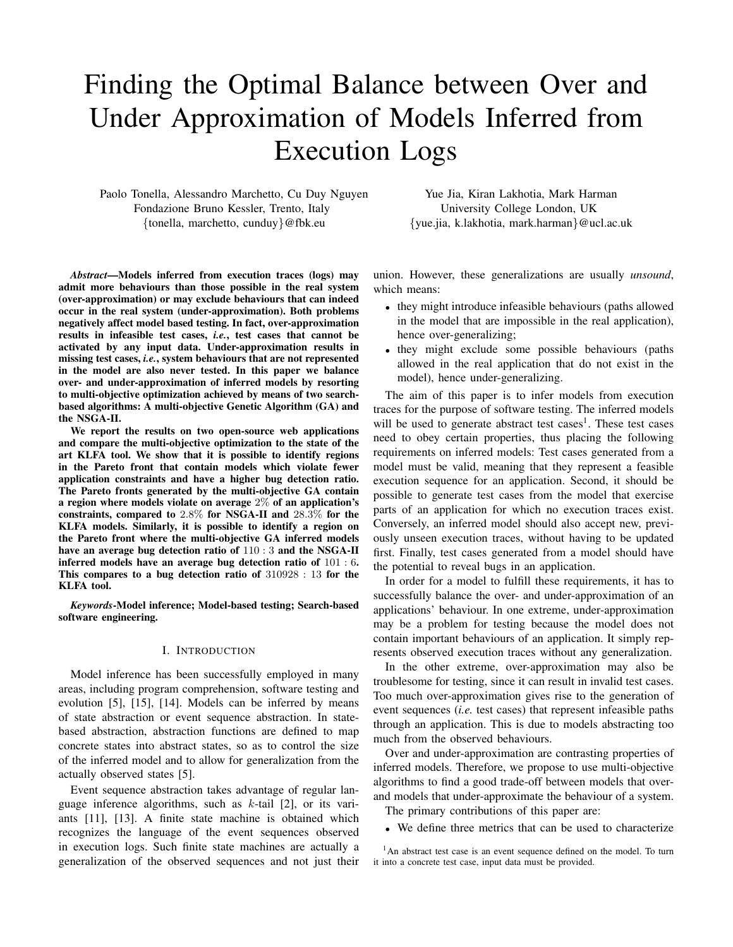# Finding the Optimal Balance between Over and Under Approximation of Models Inferred from Execution Logs

Paolo Tonella, Alessandro Marchetto, Cu Duy Nguyen Fondazione Bruno Kessler, Trento, Italy {tonella, marchetto, cunduy}@fbk.eu

Yue Jia, Kiran Lakhotia, Mark Harman University College London, UK {yue.jia, k.lakhotia, mark.harman}@ucl.ac.uk

*Abstract*—Models inferred from execution traces (logs) may admit more behaviours than those possible in the real system (over-approximation) or may exclude behaviours that can indeed occur in the real system (under-approximation). Both problems negatively affect model based testing. In fact, over-approximation results in infeasible test cases, *i.e.*, test cases that cannot be activated by any input data. Under-approximation results in missing test cases, *i.e.*, system behaviours that are not represented in the model are also never tested. In this paper we balance over- and under-approximation of inferred models by resorting to multi-objective optimization achieved by means of two searchbased algorithms: A multi-objective Genetic Algorithm (GA) and the NSGA-II.

We report the results on two open-source web applications and compare the multi-objective optimization to the state of the art KLFA tool. We show that it is possible to identify regions in the Pareto front that contain models which violate fewer application constraints and have a higher bug detection ratio. The Pareto fronts generated by the multi-objective GA contain a region where models violate on average 2% of an application's constraints, compared to 2.8% for NSGA-II and 28.3% for the KLFA models. Similarly, it is possible to identify a region on the Pareto front where the multi-objective GA inferred models have an average bug detection ratio of 110 : 3 and the NSGA-II inferred models have an average bug detection ratio of 101 : 6. This compares to a bug detection ratio of 310928 : 13 for the KLFA tool.

*Keywords*-Model inference; Model-based testing; Search-based software engineering.

## I. INTRODUCTION

Model inference has been successfully employed in many areas, including program comprehension, software testing and evolution [5], [15], [14]. Models can be inferred by means of state abstraction or event sequence abstraction. In statebased abstraction, abstraction functions are defined to map concrete states into abstract states, so as to control the size of the inferred model and to allow for generalization from the actually observed states [5].

Event sequence abstraction takes advantage of regular language inference algorithms, such as  $k$ -tail [2], or its variants [11], [13]. A finite state machine is obtained which recognizes the language of the event sequences observed in execution logs. Such finite state machines are actually a generalization of the observed sequences and not just their union. However, these generalizations are usually *unsound*, which means:

- they might introduce infeasible behaviours (paths allowed in the model that are impossible in the real application), hence over-generalizing;
- they might exclude some possible behaviours (paths allowed in the real application that do not exist in the model), hence under-generalizing.

The aim of this paper is to infer models from execution traces for the purpose of software testing. The inferred models will be used to generate abstract test cases<sup>1</sup>. These test cases need to obey certain properties, thus placing the following requirements on inferred models: Test cases generated from a model must be valid, meaning that they represent a feasible execution sequence for an application. Second, it should be possible to generate test cases from the model that exercise parts of an application for which no execution traces exist. Conversely, an inferred model should also accept new, previously unseen execution traces, without having to be updated first. Finally, test cases generated from a model should have the potential to reveal bugs in an application.

In order for a model to fulfill these requirements, it has to successfully balance the over- and under-approximation of an applications' behaviour. In one extreme, under-approximation may be a problem for testing because the model does not contain important behaviours of an application. It simply represents observed execution traces without any generalization.

In the other extreme, over-approximation may also be troublesome for testing, since it can result in invalid test cases. Too much over-approximation gives rise to the generation of event sequences (*i.e.* test cases) that represent infeasible paths through an application. This is due to models abstracting too much from the observed behaviours.

Over and under-approximation are contrasting properties of inferred models. Therefore, we propose to use multi-objective algorithms to find a good trade-off between models that overand models that under-approximate the behaviour of a system.

The primary contributions of this paper are:

- We define three metrics that can be used to characterize
- <sup>1</sup>An abstract test case is an event sequence defined on the model. To turn it into a concrete test case, input data must be provided.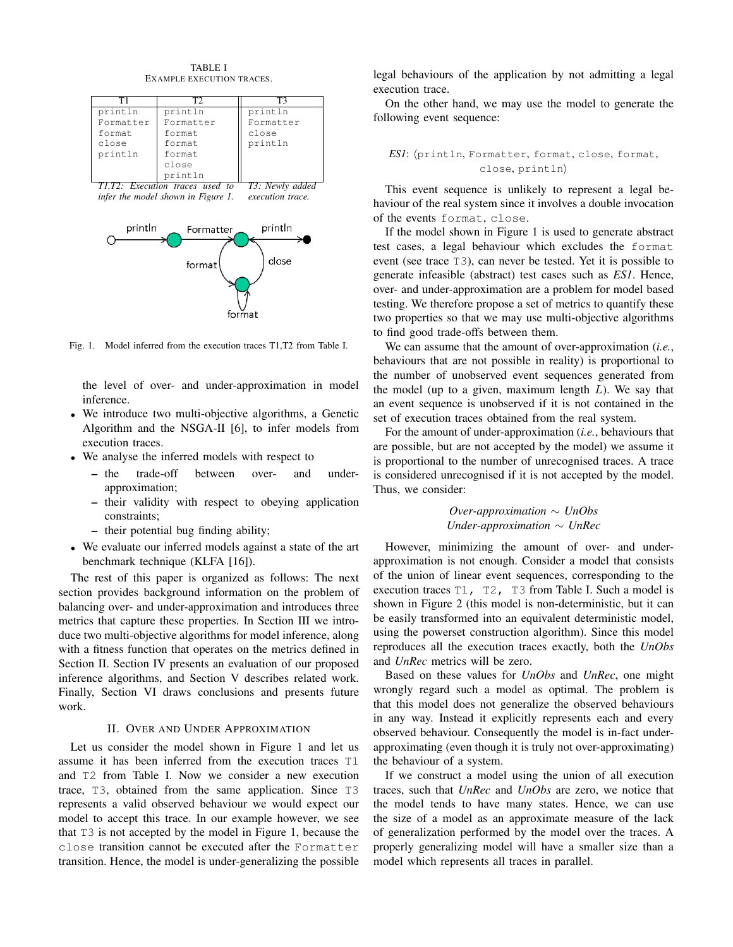

TABLE I

Fig. 1. Model inferred from the execution traces T1,T2 from Table I.

the level of over- and under-approximation in model inference.

- We introduce two multi-objective algorithms, a Genetic Algorithm and the NSGA-II [6], to infer models from execution traces.
- We analyse the inferred models with respect to
	- the trade-off between over- and underapproximation;
	- their validity with respect to obeying application constraints;
	- their potential bug finding ability;
- We evaluate our inferred models against a state of the art benchmark technique (KLFA [16]).

The rest of this paper is organized as follows: The next section provides background information on the problem of balancing over- and under-approximation and introduces three metrics that capture these properties. In Section III we introduce two multi-objective algorithms for model inference, along with a fitness function that operates on the metrics defined in Section II. Section IV presents an evaluation of our proposed inference algorithms, and Section V describes related work. Finally, Section VI draws conclusions and presents future work.

## II. OVER AND UNDER APPROXIMATION

Let us consider the model shown in Figure 1 and let us assume it has been inferred from the execution traces T1 and T2 from Table I. Now we consider a new execution trace, T3, obtained from the same application. Since T3 represents a valid observed behaviour we would expect our model to accept this trace. In our example however, we see that T3 is not accepted by the model in Figure 1, because the close transition cannot be executed after the Formatter transition. Hence, the model is under-generalizing the possible legal behaviours of the application by not admitting a legal execution trace.

On the other hand, we may use the model to generate the following event sequence:

*ES1*: hprintln, Formatter, format, close, format, close, printlni

This event sequence is unlikely to represent a legal behaviour of the real system since it involves a double invocation of the events format, close.

If the model shown in Figure 1 is used to generate abstract test cases, a legal behaviour which excludes the format event (see trace T3), can never be tested. Yet it is possible to generate infeasible (abstract) test cases such as *ES1*. Hence, over- and under-approximation are a problem for model based testing. We therefore propose a set of metrics to quantify these two properties so that we may use multi-objective algorithms to find good trade-offs between them.

We can assume that the amount of over-approximation (*i.e.*, behaviours that are not possible in reality) is proportional to the number of unobserved event sequences generated from the model (up to a given, maximum length  $L$ ). We say that an event sequence is unobserved if it is not contained in the set of execution traces obtained from the real system.

For the amount of under-approximation (*i.e.*, behaviours that are possible, but are not accepted by the model) we assume it is proportional to the number of unrecognised traces. A trace is considered unrecognised if it is not accepted by the model. Thus, we consider:

> *Over-approximation* ∼ *UnObs Under-approximation* ∼ *UnRec*

However, minimizing the amount of over- and underapproximation is not enough. Consider a model that consists of the union of linear event sequences, corresponding to the execution traces T1, T2, T3 from Table I. Such a model is shown in Figure 2 (this model is non-deterministic, but it can be easily transformed into an equivalent deterministic model, using the powerset construction algorithm). Since this model reproduces all the execution traces exactly, both the *UnObs* and *UnRec* metrics will be zero.

Based on these values for *UnObs* and *UnRec*, one might wrongly regard such a model as optimal. The problem is that this model does not generalize the observed behaviours in any way. Instead it explicitly represents each and every observed behaviour. Consequently the model is in-fact underapproximating (even though it is truly not over-approximating) the behaviour of a system.

If we construct a model using the union of all execution traces, such that *UnRec* and *UnObs* are zero, we notice that the model tends to have many states. Hence, we can use the size of a model as an approximate measure of the lack of generalization performed by the model over the traces. A properly generalizing model will have a smaller size than a model which represents all traces in parallel.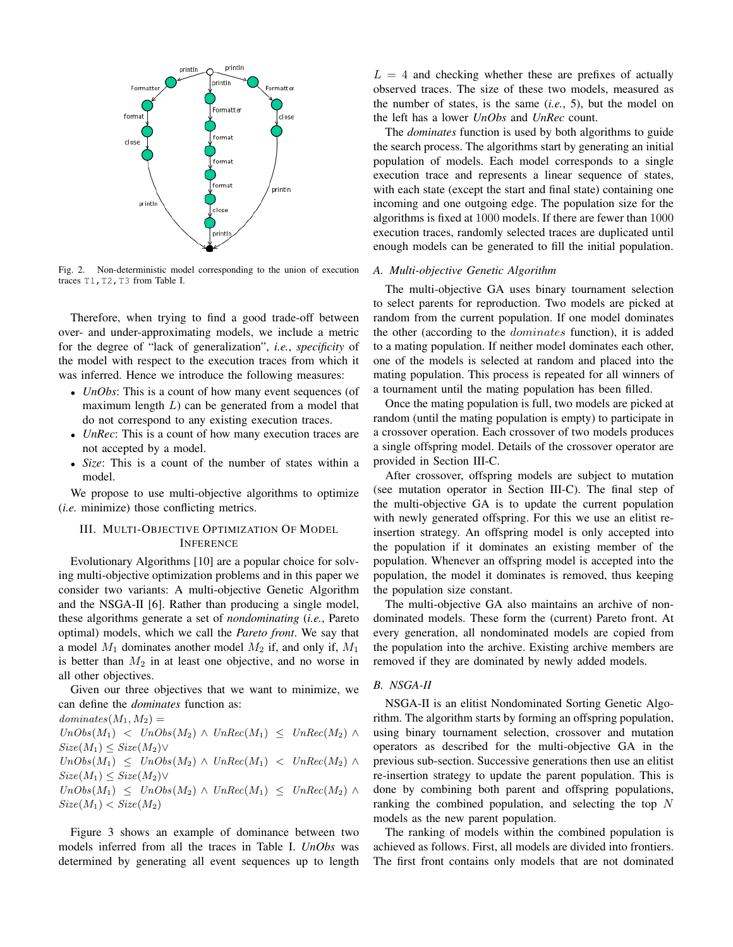

Fig. 2. Non-deterministic model corresponding to the union of execution traces T1, T2, T3 from Table I.

Therefore, when trying to find a good trade-off between over- and under-approximating models, we include a metric for the degree of "lack of generalization", *i.e.*, *specificity* of the model with respect to the execution traces from which it was inferred. Hence we introduce the following measures:

- *UnObs*: This is a count of how many event sequences (of maximum length  $L$ ) can be generated from a model that do not correspond to any existing execution traces.
- *UnRec*: This is a count of how many execution traces are not accepted by a model.
- *Size*: This is a count of the number of states within a model.

We propose to use multi-objective algorithms to optimize (*i.e.* minimize) those conflicting metrics.

# III. MULTI-OBJECTIVE OPTIMIZATION OF MODEL INFERENCE

Evolutionary Algorithms [10] are a popular choice for solving multi-objective optimization problems and in this paper we consider two variants: A multi-objective Genetic Algorithm and the NSGA-II [6]. Rather than producing a single model, these algorithms generate a set of *nondominating* (*i.e.*, Pareto optimal) models, which we call the *Pareto front*. We say that a model  $M_1$  dominates another model  $M_2$  if, and only if,  $M_1$ is better than  $M_2$  in at least one objective, and no worse in all other objectives.

Given our three objectives that we want to minimize, we can define the *dominates* function as:

 $dominates(M_1, M_2) =$  $UnObs(M_1)$  <  $UnObs(M_2) \wedge UnRec(M_1)$  <  $UnRec(M_2) \wedge$  $Size(M_1) \leq Size(M_2) \vee$  $UnObs(M_1) \leq UnObs(M_2) \wedge UnRec(M_1) \langle UnRec(M_2) \wedge UnRec(M_2) \rangle$  $Size(M_1) \leq Size(M_2) \vee$  $UnObs(M_1) \leq UnObs(M_2) \wedge UnRec(M_1) \leq UnRec(M_2) \wedge$  $Size(M_1) < Size(M_2)$ 

Figure 3 shows an example of dominance between two models inferred from all the traces in Table I. *UnObs* was determined by generating all event sequences up to length

 $L = 4$  and checking whether these are prefixes of actually observed traces. The size of these two models, measured as the number of states, is the same (*i.e.*, 5), but the model on the left has a lower *UnObs* and *UnRec* count.

The *dominates* function is used by both algorithms to guide the search process. The algorithms start by generating an initial population of models. Each model corresponds to a single execution trace and represents a linear sequence of states, with each state (except the start and final state) containing one incoming and one outgoing edge. The population size for the algorithms is fixed at 1000 models. If there are fewer than 1000 execution traces, randomly selected traces are duplicated until enough models can be generated to fill the initial population.

## *A. Multi-objective Genetic Algorithm*

The multi-objective GA uses binary tournament selection to select parents for reproduction. Two models are picked at random from the current population. If one model dominates the other (according to the dominates function), it is added to a mating population. If neither model dominates each other, one of the models is selected at random and placed into the mating population. This process is repeated for all winners of a tournament until the mating population has been filled.

Once the mating population is full, two models are picked at random (until the mating population is empty) to participate in a crossover operation. Each crossover of two models produces a single offspring model. Details of the crossover operator are provided in Section III-C.

After crossover, offspring models are subject to mutation (see mutation operator in Section III-C). The final step of the multi-objective GA is to update the current population with newly generated offspring. For this we use an elitist reinsertion strategy. An offspring model is only accepted into the population if it dominates an existing member of the population. Whenever an offspring model is accepted into the population, the model it dominates is removed, thus keeping the population size constant.

The multi-objective GA also maintains an archive of nondominated models. These form the (current) Pareto front. At every generation, all nondominated models are copied from the population into the archive. Existing archive members are removed if they are dominated by newly added models.

## *B. NSGA-II*

NSGA-II is an elitist Nondominated Sorting Genetic Algorithm. The algorithm starts by forming an offspring population, using binary tournament selection, crossover and mutation operators as described for the multi-objective GA in the previous sub-section. Successive generations then use an elitist re-insertion strategy to update the parent population. This is done by combining both parent and offspring populations, ranking the combined population, and selecting the top N models as the new parent population.

The ranking of models within the combined population is achieved as follows. First, all models are divided into frontiers. The first front contains only models that are not dominated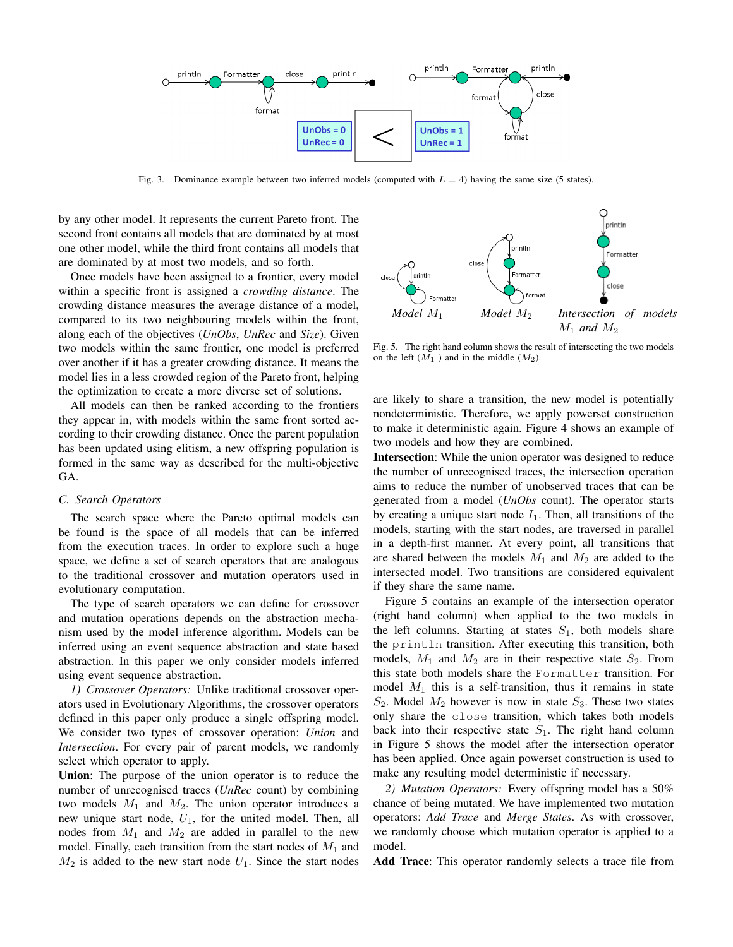

Fig. 3. Dominance example between two inferred models (computed with  $L = 4$ ) having the same size (5 states).

by any other model. It represents the current Pareto front. The second front contains all models that are dominated by at most one other model, while the third front contains all models that are dominated by at most two models, and so forth.

Once models have been assigned to a frontier, every model within a specific front is assigned a *crowding distance*. The crowding distance measures the average distance of a model, compared to its two neighbouring models within the front, along each of the objectives (*UnObs*, *UnRec* and *Size*). Given two models within the same frontier, one model is preferred over another if it has a greater crowding distance. It means the model lies in a less crowded region of the Pareto front, helping the optimization to create a more diverse set of solutions.

All models can then be ranked according to the frontiers they appear in, with models within the same front sorted according to their crowding distance. Once the parent population has been updated using elitism, a new offspring population is formed in the same way as described for the multi-objective GA.

## *C. Search Operators*

The search space where the Pareto optimal models can be found is the space of all models that can be inferred from the execution traces. In order to explore such a huge space, we define a set of search operators that are analogous to the traditional crossover and mutation operators used in evolutionary computation.

The type of search operators we can define for crossover and mutation operations depends on the abstraction mechanism used by the model inference algorithm. Models can be inferred using an event sequence abstraction and state based abstraction. In this paper we only consider models inferred using event sequence abstraction.

*1) Crossover Operators:* Unlike traditional crossover operators used in Evolutionary Algorithms, the crossover operators defined in this paper only produce a single offspring model. We consider two types of crossover operation: *Union* and *Intersection*. For every pair of parent models, we randomly select which operator to apply.

Union: The purpose of the union operator is to reduce the number of unrecognised traces (*UnRec* count) by combining two models  $M_1$  and  $M_2$ . The union operator introduces a new unique start node,  $U_1$ , for the united model. Then, all nodes from  $M_1$  and  $M_2$  are added in parallel to the new model. Finally, each transition from the start nodes of  $M_1$  and  $M_2$  is added to the new start node  $U_1$ . Since the start nodes



Fig. 5. The right hand column shows the result of intersecting the two models on the left  $(M_1)$  and in the middle  $(M_2)$ .

are likely to share a transition, the new model is potentially nondeterministic. Therefore, we apply powerset construction to make it deterministic again. Figure 4 shows an example of two models and how they are combined.

Intersection: While the union operator was designed to reduce the number of unrecognised traces, the intersection operation aims to reduce the number of unobserved traces that can be generated from a model (*UnObs* count). The operator starts by creating a unique start node  $I_1$ . Then, all transitions of the models, starting with the start nodes, are traversed in parallel in a depth-first manner. At every point, all transitions that are shared between the models  $M_1$  and  $M_2$  are added to the intersected model. Two transitions are considered equivalent if they share the same name.

Figure 5 contains an example of the intersection operator (right hand column) when applied to the two models in the left columns. Starting at states  $S_1$ , both models share the println transition. After executing this transition, both models,  $M_1$  and  $M_2$  are in their respective state  $S_2$ . From this state both models share the Formatter transition. For model  $M_1$  this is a self-transition, thus it remains in state  $S_2$ . Model  $M_2$  however is now in state  $S_3$ . These two states only share the close transition, which takes both models back into their respective state  $S_1$ . The right hand column in Figure 5 shows the model after the intersection operator has been applied. Once again powerset construction is used to make any resulting model deterministic if necessary.

*2) Mutation Operators:* Every offspring model has a 50% chance of being mutated. We have implemented two mutation operators: *Add Trace* and *Merge States*. As with crossover, we randomly choose which mutation operator is applied to a model.

Add Trace: This operator randomly selects a trace file from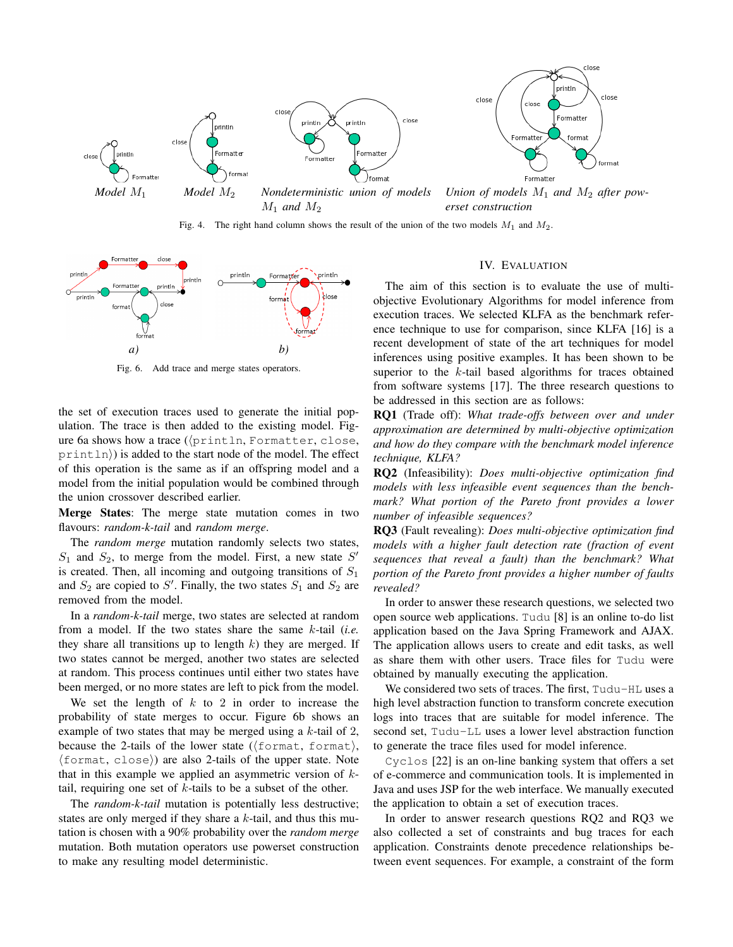



 $M_1$  *and*  $M_2$ *Union of models*  $M_1$  *and*  $M_2$  *after powerset construction*

Fig. 4. The right hand column shows the result of the union of the two models  $M_1$  and  $M_2$ .



Fig. 6. Add trace and merge states operators.

the set of execution traces used to generate the initial population. The trace is then added to the existing model. Figure 6a shows how a trace  $(\{printIn, Formatter, close,$  $print \ln$ ) is added to the start node of the model. The effect of this operation is the same as if an offspring model and a model from the initial population would be combined through the union crossover described earlier.

Merge States: The merge state mutation comes in two flavours: *random-k-tail* and *random merge*.

The *random merge* mutation randomly selects two states,  $S_1$  and  $S_2$ , to merge from the model. First, a new state  $S'$ is created. Then, all incoming and outgoing transitions of  $S_1$ and  $S_2$  are copied to  $S'$ . Finally, the two states  $S_1$  and  $S_2$  are removed from the model.

In a *random-k-tail* merge, two states are selected at random from a model. If the two states share the same k-tail (*i.e.* they share all transitions up to length  $k$ ) they are merged. If two states cannot be merged, another two states are selected at random. This process continues until either two states have been merged, or no more states are left to pick from the model.

We set the length of  $k$  to 2 in order to increase the probability of state merges to occur. Figure 6b shows an example of two states that may be merged using a  $k$ -tail of 2, because the 2-tails of the lower state ( $\langle$  format, format $\rangle$ ,  $\{\text{format}, \text{close}\}\$  are also 2-tails of the upper state. Note that in this example we applied an asymmetric version of  $k$ tail, requiring one set of  $k$ -tails to be a subset of the other.

The *random-k-tail* mutation is potentially less destructive; states are only merged if they share a  $k$ -tail, and thus this mutation is chosen with a 90% probability over the *random merge* mutation. Both mutation operators use powerset construction to make any resulting model deterministic.

## IV. EVALUATION

The aim of this section is to evaluate the use of multiobjective Evolutionary Algorithms for model inference from execution traces. We selected KLFA as the benchmark reference technique to use for comparison, since KLFA [16] is a recent development of state of the art techniques for model inferences using positive examples. It has been shown to be superior to the k-tail based algorithms for traces obtained from software systems [17]. The three research questions to be addressed in this section are as follows:

RQ1 (Trade off): *What trade-offs between over and under approximation are determined by multi-objective optimization and how do they compare with the benchmark model inference technique, KLFA?*

RQ2 (Infeasibility): *Does multi-objective optimization find models with less infeasible event sequences than the benchmark? What portion of the Pareto front provides a lower number of infeasible sequences?*

RQ3 (Fault revealing): *Does multi-objective optimization find models with a higher fault detection rate (fraction of event sequences that reveal a fault) than the benchmark? What portion of the Pareto front provides a higher number of faults revealed?*

In order to answer these research questions, we selected two open source web applications. Tudu [8] is an online to-do list application based on the Java Spring Framework and AJAX. The application allows users to create and edit tasks, as well as share them with other users. Trace files for Tudu were obtained by manually executing the application.

We considered two sets of traces. The first, Tudu-HL uses a high level abstraction function to transform concrete execution logs into traces that are suitable for model inference. The second set, Tudu-LL uses a lower level abstraction function to generate the trace files used for model inference.

Cyclos [22] is an on-line banking system that offers a set of e-commerce and communication tools. It is implemented in Java and uses JSP for the web interface. We manually executed the application to obtain a set of execution traces.

In order to answer research questions RQ2 and RQ3 we also collected a set of constraints and bug traces for each application. Constraints denote precedence relationships between event sequences. For example, a constraint of the form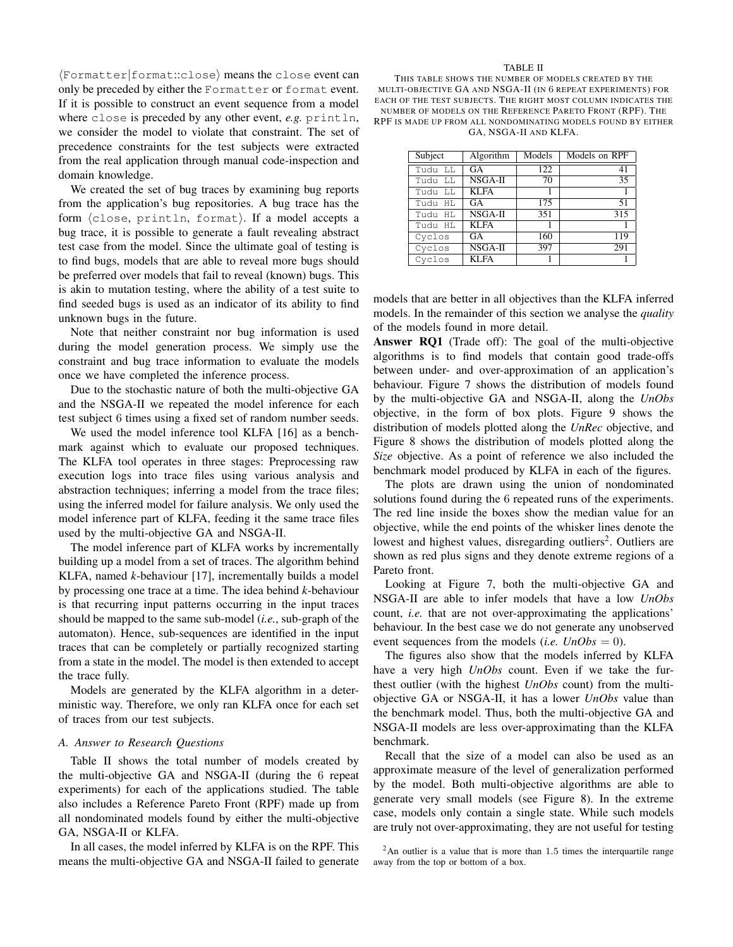$\langle$ Formatter|format::close $\rangle$  means the close event can only be preceded by either the Formatter or format event. If it is possible to construct an event sequence from a model where close is preceded by any other event, *e.g.* println, we consider the model to violate that constraint. The set of precedence constraints for the test subjects were extracted from the real application through manual code-inspection and domain knowledge.

We created the set of bug traces by examining bug reports from the application's bug repositories. A bug trace has the form (close, println, format). If a model accepts a bug trace, it is possible to generate a fault revealing abstract test case from the model. Since the ultimate goal of testing is to find bugs, models that are able to reveal more bugs should be preferred over models that fail to reveal (known) bugs. This is akin to mutation testing, where the ability of a test suite to find seeded bugs is used as an indicator of its ability to find unknown bugs in the future.

Note that neither constraint nor bug information is used during the model generation process. We simply use the constraint and bug trace information to evaluate the models once we have completed the inference process.

Due to the stochastic nature of both the multi-objective GA and the NSGA-II we repeated the model inference for each test subject 6 times using a fixed set of random number seeds.

We used the model inference tool KLFA [16] as a benchmark against which to evaluate our proposed techniques. The KLFA tool operates in three stages: Preprocessing raw execution logs into trace files using various analysis and abstraction techniques; inferring a model from the trace files; using the inferred model for failure analysis. We only used the model inference part of KLFA, feeding it the same trace files used by the multi-objective GA and NSGA-II.

The model inference part of KLFA works by incrementally building up a model from a set of traces. The algorithm behind KLFA, named *k*-behaviour [17], incrementally builds a model by processing one trace at a time. The idea behind *k*-behaviour is that recurring input patterns occurring in the input traces should be mapped to the same sub-model (*i.e.*, sub-graph of the automaton). Hence, sub-sequences are identified in the input traces that can be completely or partially recognized starting from a state in the model. The model is then extended to accept the trace fully.

Models are generated by the KLFA algorithm in a deterministic way. Therefore, we only ran KLFA once for each set of traces from our test subjects.

# *A. Answer to Research Questions*

Table II shows the total number of models created by the multi-objective GA and NSGA-II (during the 6 repeat experiments) for each of the applications studied. The table also includes a Reference Pareto Front (RPF) made up from all nondominated models found by either the multi-objective GA, NSGA-II or KLFA.

In all cases, the model inferred by KLFA is on the RPF. This means the multi-objective GA and NSGA-II failed to generate

#### TABLE II

THIS TABLE SHOWS THE NUMBER OF MODELS CREATED BY THE MULTI-OBJECTIVE GA AND NSGA-II (IN 6 REPEAT EXPERIMENTS) FOR EACH OF THE TEST SUBJECTS. THE RIGHT MOST COLUMN INDICATES THE NUMBER OF MODELS ON THE REFERENCE PARETO FRONT (RPF). THE RPF IS MADE UP FROM ALL NONDOMINATING MODELS FOUND BY EITHER GA, NSGA-II AND KLFA.

| Subject | Algorithm   | Models | Models on RPF |
|---------|-------------|--------|---------------|
| Tudu LL | GA          | 122    | 41            |
| Tudu LL | NSGA-II     | 70     | 35            |
| Tudu LL | <b>KLFA</b> |        |               |
| Tudu HL | GA          | 175    | 51            |
| Tudu HL | NSGA-II     | 351    | 315           |
| Tudu HL | <b>KLFA</b> |        |               |
| Cyclos  | GA          | 160    | 119           |
| Cyclos  | NSGA-II     | 397    | 291           |
| Cyclos  | <b>KLFA</b> |        |               |

models that are better in all objectives than the KLFA inferred models. In the remainder of this section we analyse the *quality* of the models found in more detail.

Answer RQ1 (Trade off): The goal of the multi-objective algorithms is to find models that contain good trade-offs between under- and over-approximation of an application's behaviour. Figure 7 shows the distribution of models found by the multi-objective GA and NSGA-II, along the *UnObs* objective, in the form of box plots. Figure 9 shows the distribution of models plotted along the *UnRec* objective, and Figure 8 shows the distribution of models plotted along the *Size* objective. As a point of reference we also included the benchmark model produced by KLFA in each of the figures.

The plots are drawn using the union of nondominated solutions found during the 6 repeated runs of the experiments. The red line inside the boxes show the median value for an objective, while the end points of the whisker lines denote the lowest and highest values, disregarding outliers<sup>2</sup>. Outliers are shown as red plus signs and they denote extreme regions of a Pareto front.

Looking at Figure 7, both the multi-objective GA and NSGA-II are able to infer models that have a low *UnObs* count, *i.e.* that are not over-approximating the applications' behaviour. In the best case we do not generate any unobserved event sequences from the models (*i.e.*  $UnObs = 0$ ).

The figures also show that the models inferred by KLFA have a very high *UnObs* count. Even if we take the furthest outlier (with the highest *UnObs* count) from the multiobjective GA or NSGA-II, it has a lower *UnObs* value than the benchmark model. Thus, both the multi-objective GA and NSGA-II models are less over-approximating than the KLFA benchmark.

Recall that the size of a model can also be used as an approximate measure of the level of generalization performed by the model. Both multi-objective algorithms are able to generate very small models (see Figure 8). In the extreme case, models only contain a single state. While such models are truly not over-approximating, they are not useful for testing

<sup>2</sup>An outlier is a value that is more than 1.5 times the interquartile range away from the top or bottom of a box.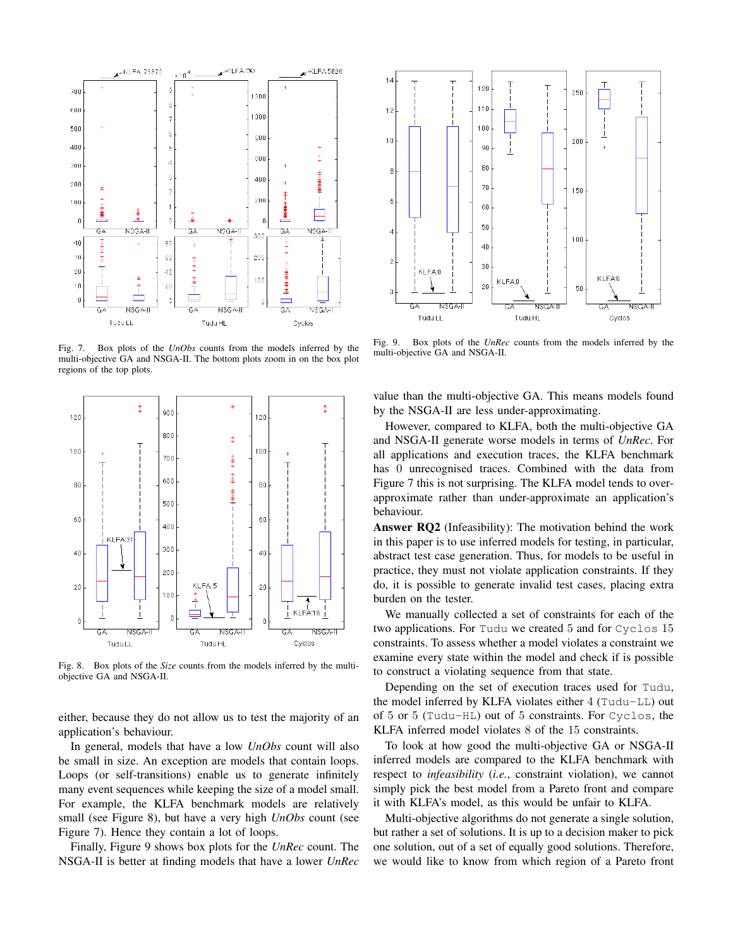

Fig. 7. Box plots of the *UnObs* counts from the models inferred by the multi-objective GA and NSGA-II. The bottom plots zoom in on the box plot regions of the top plots.



Fig. 8. Box plots of the *Size* counts from the models inferred by the multiobjective GA and NSGA-II.

either, because they do not allow us to test the majority of an application's behaviour.

In general, models that have a low *UnObs* count will also be small in size. An exception are models that contain loops. Loops (or self-transitions) enable us to generate infinitely many event sequences while keeping the size of a model small. For example, the KLFA benchmark models are relatively small (see Figure 8), but have a very high *UnObs* count (see Figure 7). Hence they contain a lot of loops.

Finally, Figure 9 shows box plots for the *UnRec* count. The NSGA-II is better at finding models that have a lower *UnRec*



Fig. 9. Box plots of the *UnRec* counts from the models inferred by the multi-objective GA and NSGA-II.

value than the multi-objective GA. This means models found by the NSGA-II are less under-approximating.

However, compared to KLFA, both the multi-objective GA and NSGA-II generate worse models in terms of *UnRec*. For all applications and execution traces, the KLFA benchmark has 0 unrecognised traces. Combined with the data from Figure 7 this is not surprising. The KLFA model tends to overapproximate rather than under-approximate an application's behaviour.

Answer RQ2 (Infeasibility): The motivation behind the work in this paper is to use inferred models for testing, in particular, abstract test case generation. Thus, for models to be useful in practice, they must not violate application constraints. If they do, it is possible to generate invalid test cases, placing extra burden on the tester.

We manually collected a set of constraints for each of the two applications. For Tudu we created 5 and for Cyclos 15 constraints. To assess whether a model violates a constraint we examine every state within the model and check if is possible to construct a violating sequence from that state.

Depending on the set of execution traces used for Tudu, the model inferred by KLFA violates either 4 (Tudu-LL) out of 5 or 5 (Tudu-HL) out of 5 constraints. For Cyclos, the KLFA inferred model violates 8 of the 15 constraints.

To look at how good the multi-objective GA or NSGA-II inferred models are compared to the KLFA benchmark with respect to *infeasibility* (*i.e.*, constraint violation), we cannot simply pick the best model from a Pareto front and compare it with KLFA's model, as this would be unfair to KLFA.

Multi-objective algorithms do not generate a single solution, but rather a set of solutions. It is up to a decision maker to pick one solution, out of a set of equally good solutions. Therefore, we would like to know from which region of a Pareto front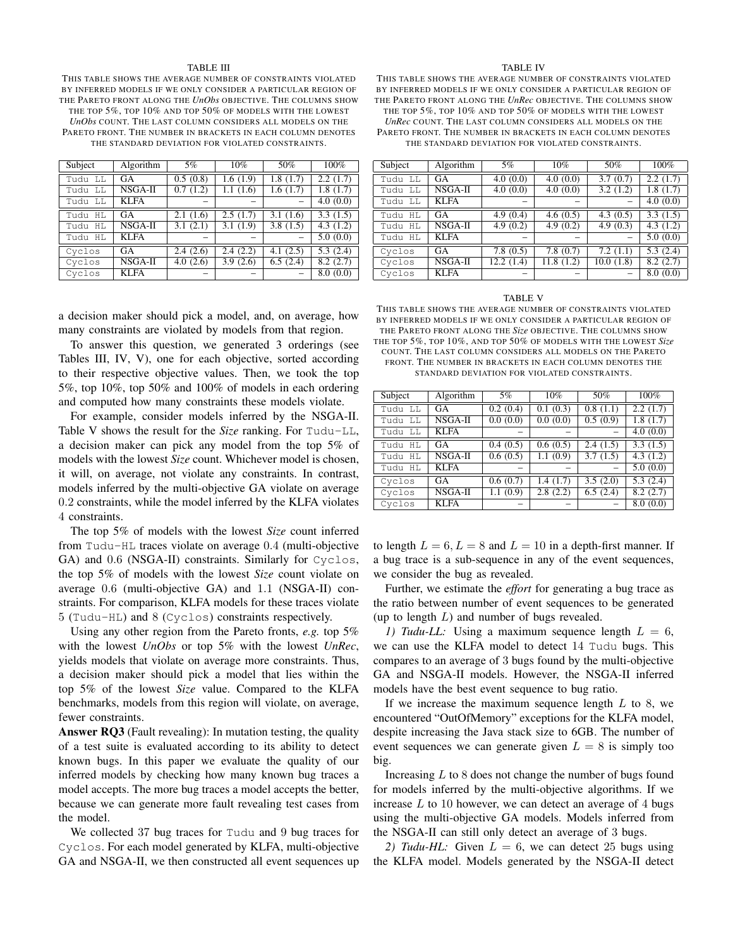#### TABLE III

THIS TABLE SHOWS THE AVERAGE NUMBER OF CONSTRAINTS VIOLATED BY INFERRED MODELS IF WE ONLY CONSIDER A PARTICULAR REGION OF THE PARETO FRONT ALONG THE *UnObs* OBJECTIVE. THE COLUMNS SHOW THE TOP 5%, TOP 10% AND TOP 50% OF MODELS WITH THE LOWEST *UnObs* COUNT. THE LAST COLUMN CONSIDERS ALL MODELS ON THE PARETO FRONT. THE NUMBER IN BRACKETS IN EACH COLUMN DENOTES THE STANDARD DEVIATION FOR VIOLATED CONSTRAINTS.

| Subject    | Algorithm   | 5%       | 10%      | 50%      | 100%     |
|------------|-------------|----------|----------|----------|----------|
| Tudu LL    | <b>GA</b>   | 0.5(0.8) | 1.6(1.9) | 1.8(1.7) | 2.2(1.7) |
| Tudu LL    | NSGA-II     | 0.7(1.2) | 1.1(1.6) | 1.6(1.7) | 1.8(1.7) |
| Tudu LL    | <b>KLFA</b> |          |          |          | 4.0(0.0) |
| Tudu<br>HL | GA          | 2.1(1.6) | 2.5(1.7) | 3.1(1.6) | 3.3(1.5) |
| Tudu<br>HL | NSGA-II     | 3.1(2.1) | 3.1(1.9) | 3.8(1.5) | 4.3(1.2) |
| Tudu HL    | <b>KLFA</b> |          |          |          | 5.0(0.0) |
| Cyclos     | GA          | 2.4(2.6) | 2.4(2.2) | 4.1(2.5) | 5.3(2.4) |
| Cyclos     | NSGA-II     | 4.0(2.6) | 3.9(2.6) | 6.5(2.4) | 8.2(2.7) |
| Cyclos     | <b>KLFA</b> |          |          |          | 8.0(0.0) |

a decision maker should pick a model, and, on average, how many constraints are violated by models from that region.

To answer this question, we generated 3 orderings (see Tables III, IV, V), one for each objective, sorted according to their respective objective values. Then, we took the top 5%, top 10%, top 50% and 100% of models in each ordering and computed how many constraints these models violate.

For example, consider models inferred by the NSGA-II. Table V shows the result for the *Size* ranking. For Tudu-LL, a decision maker can pick any model from the top 5% of models with the lowest *Size* count. Whichever model is chosen, it will, on average, not violate any constraints. In contrast, models inferred by the multi-objective GA violate on average 0.2 constraints, while the model inferred by the KLFA violates 4 constraints.

The top 5% of models with the lowest *Size* count inferred from Tudu-HL traces violate on average 0.4 (multi-objective GA) and 0.6 (NSGA-II) constraints. Similarly for Cyclos, the top 5% of models with the lowest *Size* count violate on average 0.6 (multi-objective GA) and 1.1 (NSGA-II) constraints. For comparison, KLFA models for these traces violate 5 (Tudu-HL) and 8 (Cyclos) constraints respectively.

Using any other region from the Pareto fronts, *e.g.* top 5% with the lowest *UnObs* or top 5% with the lowest *UnRec*, yields models that violate on average more constraints. Thus, a decision maker should pick a model that lies within the top 5% of the lowest *Size* value. Compared to the KLFA benchmarks, models from this region will violate, on average, fewer constraints.

Answer RQ3 (Fault revealing): In mutation testing, the quality of a test suite is evaluated according to its ability to detect known bugs. In this paper we evaluate the quality of our inferred models by checking how many known bug traces a model accepts. The more bug traces a model accepts the better, because we can generate more fault revealing test cases from the model.

We collected 37 bug traces for Tudu and 9 bug traces for Cyclos. For each model generated by KLFA, multi-objective GA and NSGA-II, we then constructed all event sequences up

#### TABLE IV

THIS TABLE SHOWS THE AVERAGE NUMBER OF CONSTRAINTS VIOLATED BY INFERRED MODELS IF WE ONLY CONSIDER A PARTICULAR REGION OF THE PARETO FRONT ALONG THE *UnRec* OBJECTIVE. THE COLUMNS SHOW THE TOP 5%, TOP 10% AND TOP 50% OF MODELS WITH THE LOWEST

*UnRec* COUNT. THE LAST COLUMN CONSIDERS ALL MODELS ON THE PARETO FRONT. THE NUMBER IN BRACKETS IN EACH COLUMN DENOTES

THE STANDARD DEVIATION FOR VIOLATED CONSTRAINTS.

| Subject | Algorithm   | $5\%$                   | $10\%$                  | 50%                     | 100%     |
|---------|-------------|-------------------------|-------------------------|-------------------------|----------|
| Tudu LL | GA          | 4.0(0.0)                | 4.0(0.0)                | 3.7(0.7)                | 2.2(1.7) |
| Tudu LL | NSGA-II     | 4.0(0.0)                | 4.0(0.0)                | 3.2(1.2)                | 1.8(1.7) |
| Tudu LL | <b>KLFA</b> |                         |                         |                         | 4.0(0.0) |
| Tudu HL | GA          | 4.9(0.4)                | 4.6(0.5)                | 4.3(0.5)                | 3.3(1.5) |
| Tudu HL | NSGA-II     | 4.9(0.2)                | 4.9(0.2)                | 4.9(0.3)                | 4.3(1.2) |
| Tudu HL | <b>KLFA</b> |                         |                         |                         | 5.0(0.0) |
| Cyclos  | GA          | 7.8(0.5)                | 7.8(0.7)                | 7.2(1.1)                | 5.3(2.4) |
| Cyclos  | $NSGA-II$   | $\overline{12.2}$ (1.4) | $\overline{11.8}$ (1.2) | $\overline{10.0}$ (1.8) | 8.2(2.7) |
| Cyclos  | <b>KLFA</b> |                         |                         |                         | 8.0(0.0) |

#### TABLE V

THIS TABLE SHOWS THE AVERAGE NUMBER OF CONSTRAINTS VIOLATED BY INFERRED MODELS IF WE ONLY CONSIDER A PARTICULAR REGION OF THE PARETO FRONT ALONG THE *Size* OBJECTIVE. THE COLUMNS SHOW THE TOP 5%, TOP 10%, AND TOP 50% OF MODELS WITH THE LOWEST *Size*

COUNT. THE LAST COLUMN CONSIDERS ALL MODELS ON THE PARETO FRONT. THE NUMBER IN BRACKETS IN EACH COLUMN DENOTES THE

STANDARD DEVIATION FOR VIOLATED CONSTRAINTS.

| Subject | Algorithm   | 5%       | 10%      | 50%                   | 100%     |
|---------|-------------|----------|----------|-----------------------|----------|
| Tudu LL | GA          | 0.2(0.4) | 0.1(0.3) | $\overline{0.8(1.1)}$ | 2.2(1.7) |
| Tudu LL | $NSGA-II$   | 0.0(0.0) | 0.0(0.0) | 0.5(0.9)              | 1.8(1.7) |
| Tudu LL | <b>KLFA</b> |          |          |                       | 4.0(0.0) |
| Tudu HL | GA          | 0.4(0.5) | 0.6(0.5) | 2.4(1.5)              | 3.3(1.5) |
| Tudu HL | NSGA-II     | 0.6(0.5) | 1.1(0.9) | 3.7(1.5)              | 4.3(1.2) |
| Tudu HL | <b>KLFA</b> |          |          |                       | 5.0(0.0) |
| Cyclos  | GA          | 0.6(0.7) | 1.4(1.7) | 3.5(2.0)              | 5.3(2.4) |
| Cyclos  | NSGA-II     | 1.1(0.9) | 2.8(2.2) | 6.5(2.4)              | 8.2(2.7) |
| Cyclos  | <b>KLFA</b> |          |          |                       | 8.0(0.0) |

to length  $L = 6, L = 8$  and  $L = 10$  in a depth-first manner. If a bug trace is a sub-sequence in any of the event sequences, we consider the bug as revealed.

Further, we estimate the *effort* for generating a bug trace as the ratio between number of event sequences to be generated (up to length  $L$ ) and number of bugs revealed.

*1) Tudu-LL:* Using a maximum sequence length  $L = 6$ , we can use the KLFA model to detect 14 Tudu bugs. This compares to an average of 3 bugs found by the multi-objective GA and NSGA-II models. However, the NSGA-II inferred models have the best event sequence to bug ratio.

If we increase the maximum sequence length  $L$  to 8, we encountered "OutOfMemory" exceptions for the KLFA model, despite increasing the Java stack size to 6GB. The number of event sequences we can generate given  $L = 8$  is simply too big.

Increasing  $L$  to 8 does not change the number of bugs found for models inferred by the multi-objective algorithms. If we increase  $L$  to 10 however, we can detect an average of 4 bugs using the multi-objective GA models. Models inferred from the NSGA-II can still only detect an average of 3 bugs.

2) Tudu-HL: Given  $L = 6$ , we can detect 25 bugs using the KLFA model. Models generated by the NSGA-II detect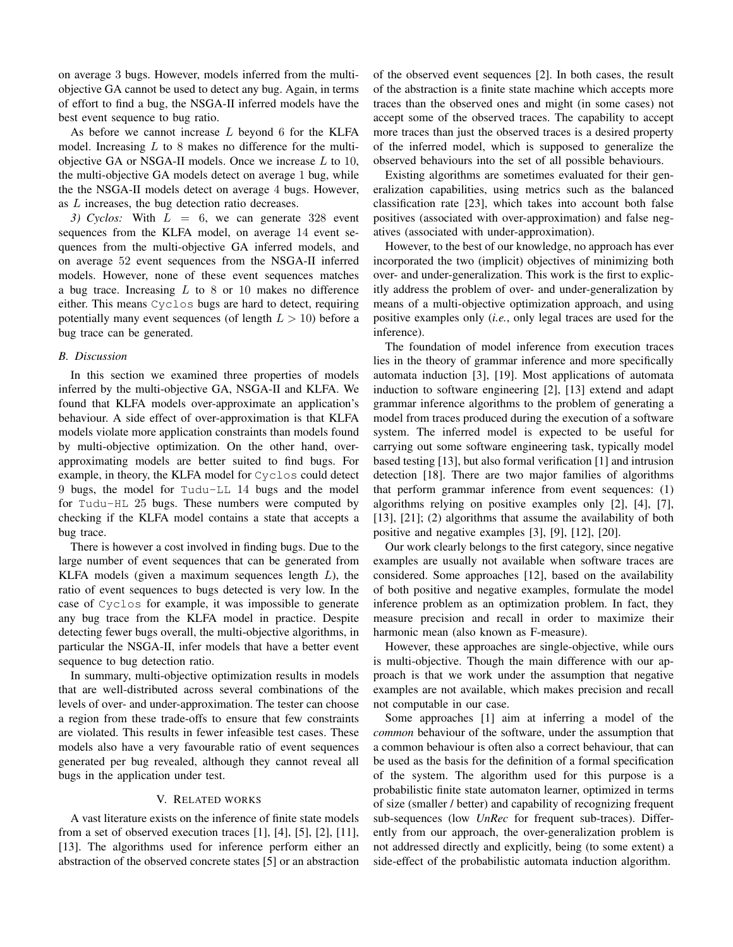on average 3 bugs. However, models inferred from the multiobjective GA cannot be used to detect any bug. Again, in terms of effort to find a bug, the NSGA-II inferred models have the best event sequence to bug ratio.

As before we cannot increase  $L$  beyond 6 for the KLFA model. Increasing  $L$  to 8 makes no difference for the multiobjective GA or NSGA-II models. Once we increase  $L$  to 10, the multi-objective GA models detect on average 1 bug, while the the NSGA-II models detect on average 4 bugs. However, as L increases, the bug detection ratio decreases.

3) Cyclos: With  $L = 6$ , we can generate 328 event sequences from the KLFA model, on average 14 event sequences from the multi-objective GA inferred models, and on average 52 event sequences from the NSGA-II inferred models. However, none of these event sequences matches a bug trace. Increasing  $L$  to 8 or 10 makes no difference either. This means Cyclos bugs are hard to detect, requiring potentially many event sequences (of length  $L > 10$ ) before a bug trace can be generated.

# *B. Discussion*

In this section we examined three properties of models inferred by the multi-objective GA, NSGA-II and KLFA. We found that KLFA models over-approximate an application's behaviour. A side effect of over-approximation is that KLFA models violate more application constraints than models found by multi-objective optimization. On the other hand, overapproximating models are better suited to find bugs. For example, in theory, the KLFA model for Cyclos could detect 9 bugs, the model for Tudu-LL 14 bugs and the model for Tudu-HL 25 bugs. These numbers were computed by checking if the KLFA model contains a state that accepts a bug trace.

There is however a cost involved in finding bugs. Due to the large number of event sequences that can be generated from KLFA models (given a maximum sequences length  $L$ ), the ratio of event sequences to bugs detected is very low. In the case of Cyclos for example, it was impossible to generate any bug trace from the KLFA model in practice. Despite detecting fewer bugs overall, the multi-objective algorithms, in particular the NSGA-II, infer models that have a better event sequence to bug detection ratio.

In summary, multi-objective optimization results in models that are well-distributed across several combinations of the levels of over- and under-approximation. The tester can choose a region from these trade-offs to ensure that few constraints are violated. This results in fewer infeasible test cases. These models also have a very favourable ratio of event sequences generated per bug revealed, although they cannot reveal all bugs in the application under test.

# V. RELATED WORKS

A vast literature exists on the inference of finite state models from a set of observed execution traces  $[1]$ ,  $[4]$ ,  $[5]$ ,  $[2]$ ,  $[11]$ , [13]. The algorithms used for inference perform either an abstraction of the observed concrete states [5] or an abstraction of the observed event sequences [2]. In both cases, the result of the abstraction is a finite state machine which accepts more traces than the observed ones and might (in some cases) not accept some of the observed traces. The capability to accept more traces than just the observed traces is a desired property of the inferred model, which is supposed to generalize the observed behaviours into the set of all possible behaviours.

Existing algorithms are sometimes evaluated for their generalization capabilities, using metrics such as the balanced classification rate [23], which takes into account both false positives (associated with over-approximation) and false negatives (associated with under-approximation).

However, to the best of our knowledge, no approach has ever incorporated the two (implicit) objectives of minimizing both over- and under-generalization. This work is the first to explicitly address the problem of over- and under-generalization by means of a multi-objective optimization approach, and using positive examples only (*i.e.*, only legal traces are used for the inference).

The foundation of model inference from execution traces lies in the theory of grammar inference and more specifically automata induction [3], [19]. Most applications of automata induction to software engineering [2], [13] extend and adapt grammar inference algorithms to the problem of generating a model from traces produced during the execution of a software system. The inferred model is expected to be useful for carrying out some software engineering task, typically model based testing [13], but also formal verification [1] and intrusion detection [18]. There are two major families of algorithms that perform grammar inference from event sequences: (1) algorithms relying on positive examples only [2], [4], [7], [13], [21]; (2) algorithms that assume the availability of both positive and negative examples [3], [9], [12], [20].

Our work clearly belongs to the first category, since negative examples are usually not available when software traces are considered. Some approaches [12], based on the availability of both positive and negative examples, formulate the model inference problem as an optimization problem. In fact, they measure precision and recall in order to maximize their harmonic mean (also known as F-measure).

However, these approaches are single-objective, while ours is multi-objective. Though the main difference with our approach is that we work under the assumption that negative examples are not available, which makes precision and recall not computable in our case.

Some approaches [1] aim at inferring a model of the *common* behaviour of the software, under the assumption that a common behaviour is often also a correct behaviour, that can be used as the basis for the definition of a formal specification of the system. The algorithm used for this purpose is a probabilistic finite state automaton learner, optimized in terms of size (smaller / better) and capability of recognizing frequent sub-sequences (low *UnRec* for frequent sub-traces). Differently from our approach, the over-generalization problem is not addressed directly and explicitly, being (to some extent) a side-effect of the probabilistic automata induction algorithm.